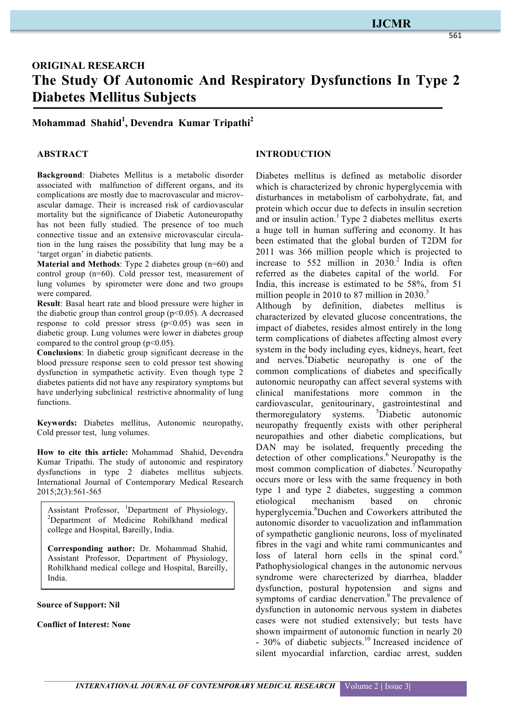# **IJCMR**

# **ORIGINAL RESEARCH The Study Of Autonomic And Respiratory Dysfunctions In Type 2 Diabetes Mellitus Subjects**

**Mohammad Shahid<sup>1</sup> , Devendra Kumar Tripathi2**

#### **ABSTRACT**

**Background**: Diabetes Mellitus is a metabolic disorder associated with malfunction of different organs, and its complications are mostly due to macrovascular and microvascular damage. Their is increased risk of cardiovascular mortality but the significance of Diabetic Autoneuropathy has not been fully studied. The presence of too much connective tissue and an extensive microvascular circulation in the lung raises the possibility that lung may be a 'target organ' in diabetic patients.

**Material and Methods**: Type 2 diabetes group (n=60) and control group (n=60). Cold pressor test, measurement of lung volumes by spirometer were done and two groups were compared.

**Result**: Basal heart rate and blood pressure were higher in the diabetic group than control group ( $p$ <0.05). A decreased response to cold pressor stress  $(p<0.05)$  was seen in diabetic group. Lung volumes were lower in diabetes group compared to the control group  $(p<0.05)$ .

**Conclusions**: In diabetic group significant decrease in the blood pressure response seen to cold pressor test showing dysfunction in sympathetic activity. Even though type 2 diabetes patients did not have any respiratory symptoms but have underlying subclinical restrictive abnormality of lung functions.

**Keywords:** Diabetes mellitus, Autonomic neuropathy, Cold pressor test, lung volumes.

**How to cite this article:** Mohammad Shahid, Devendra Kumar Tripathi. The study of autonomic and respiratory dysfunctions in type 2 diabetes mellitus subjects. International Journal of Contemporary Medical Research 2015;2(3):561-565

Assistant Professor, <sup>1</sup>Department of Physiology, <sup>2</sup>Department of Medicine Rohilkhand medical college and Hospital, Bareilly, India.

**Corresponding author:** Dr. Mohammad Shahid, Assistant Professor, Department of Physiology, Rohilkhand medical college and Hospital, Bareilly, India.

**Source of Support: Nil**

**Conflict of Interest: None**

# **INTRODUCTION**

Diabetes mellitus is defined as metabolic disorder which is characterized by chronic hyperglycemia with disturbances in metabolism of carbohydrate, fat, and protein which occur due to defects in insulin secretion and or insulin action.<sup>1</sup> Type 2 diabetes mellitus exerts a huge toll in human suffering and economy. It has been estimated that the global burden of T2DM for 2011 was 366 million people which is projected to increase to  $552$  million in  $2030<sup>2</sup>$  India is often referred as the diabetes capital of the world. For India, this increase is estimated to be 58%, from 51 million people in 2010 to 87 million in  $2030$ .<sup>3</sup>

Although by definition, diabetes mellitus is characterized by elevated glucose concentrations, the impact of diabetes, resides almost entirely in the long term complications of diabetes affecting almost every system in the body including eyes, kidneys, heart, feet and nerves. 4 Diabetic neuropathy is one of the common complications of diabetes and specifically autonomic neuropathy can affect several systems with clinical manifestations more common in the cardiovascular, genitourinary, gastrointestinal and thermoregulatory systems. <sup>5</sup>Diabetic autonomic neuropathy frequently exists with other peripheral neuropathies and other diabetic complications, but DAN may be isolated, frequently preceding the detection of other complications.<sup>6</sup> Neuropathy is the most common complication of diabetes.<sup>7</sup> Neuropathy occurs more or less with the same frequency in both type 1 and type 2 diabetes, suggesting a common etiological mechanism based on chronic hyperglycemia.<sup>8</sup>Duchen and Coworkers attributed the autonomic disorder to vacuolization and inflammation of sympathetic ganglionic neurons, loss of myelinated fibres in the vagi and white rami communicantes and loss of lateral horn cells in the spinal cord.<sup>9</sup> Pathophysiological changes in the autonomic nervous syndrome were charecterized by diarrhea, bladder dysfunction, postural hypotension and signs and symptoms of cardiac denervation.<sup>9</sup> The prevalence of dysfunction in autonomic nervous system in diabetes cases were not studied extensively; but tests have shown impairment of autonomic function in nearly 20 - 30% of diabetic subjects.<sup>10</sup> Increased incidence of silent myocardial infarction, cardiac arrest, sudden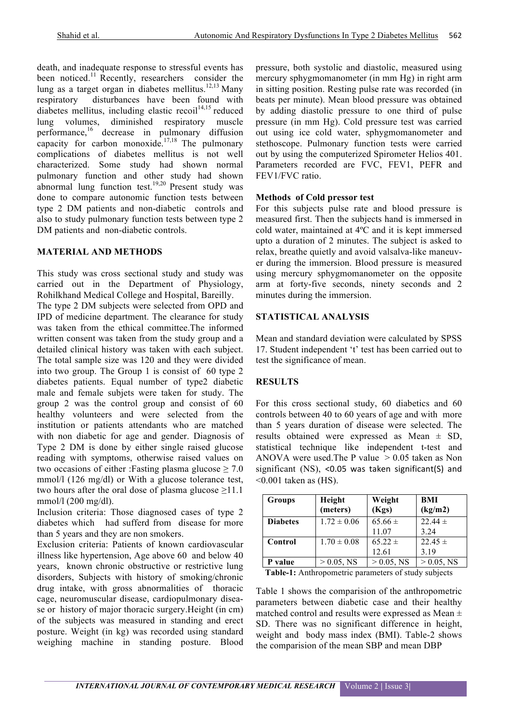death, and inadequate response to stressful events has been noticed.<sup>11</sup> Recently, researchers consider the lung as a target organ in diabetes mellitus.<sup>12,13</sup> Many respiratory disturbances have been found with diabetes mellitus, including elastic recoil $14,15$  reduced lung volumes, diminished respiratory muscle performance,<sup>16</sup> decrease in pulmonary diffusion capacity for carbon monoxide.<sup>17,18</sup> The pulmonary complications of diabetes mellitus is not well characterized. Some study had shown normal pulmonary function and other study had shown abnormal lung function test.<sup>19,20</sup> Present study was done to compare autonomic function tests between type 2 DM patients and non-diabetic controls and also to study pulmonary function tests between type 2 DM patients and non-diabetic controls.

#### **MATERIAL AND METHODS**

This study was cross sectional study and study was carried out in the Department of Physiology, Rohilkhand Medical College and Hospital, Bareilly.

The type 2 DM subjects were selected from OPD and IPD of medicine department. The clearance for study was taken from the ethical committee. The informed written consent was taken from the study group and a detailed clinical history was taken with each subject. The total sample size was 120 and they were divided into two group. The Group 1 is consist of 60 type 2 diabetes patients. Equal number of type2 diabetic male and female subjets were taken for study. The group 2 was the control group and consist of 60 healthy volunteers and were selected from the institution or patients attendants who are matched with non diabetic for age and gender. Diagnosis of Type 2 DM is done by either single raised glucose reading with symptoms, otherwise raised values on two occasions of either :Fasting plasma glucose  $\geq 7.0$ mmol/l (126 mg/dl) or With a glucose tolerance test, two hours after the oral dose of plasma glucose  $\geq$ 11.1 mmol/l (200 mg/dl).

Inclusion criteria: Those diagnosed cases of type 2 diabetes which had sufferd from disease for more than 5 years and they are non smokers.

Exclusion criteria: Patients of known cardiovascular illness like hypertension, Age above 60 and below 40 years, known chronic obstructive or restrictive lung disorders, Subjects with history of smoking/chronic drug intake, with gross abnormalities of thoracic cage, neuromuscular disease, cardiopulmonary disease or history of major thoracic surgery.Height (in cm) of the subjects was measured in standing and erect posture. Weight (in kg) was recorded using standard weighing machine in standing posture. Blood

pressure, both systolic and diastolic, measured using mercury sphygmomanometer (in mm Hg) in right arm in sitting position. Resting pulse rate was recorded (in beats per minute). Mean blood pressure was obtained by adding diastolic pressure to one third of pulse pressure (in mm Hg). Cold pressure test was carried out using ice cold water, sphygmomanometer and stethoscope. Pulmonary function tests were carried out by using the computerized Spirometer Helios 401. Parameters recorded are FVC, FEV1, PEFR and FEV1/FVC ratio.

#### **Methods of Cold pressor test**

For this subjects pulse rate and blood pressure is measured first. Then the subjects hand is immersed in cold water, maintained at 4ºC and it is kept immersed upto a duration of 2 minutes. The subject is asked to relax, breathe quietly and avoid valsalva-like maneuver during the immersion. Blood pressure is measured using mercury sphygmomanometer on the opposite arm at forty-five seconds, ninety seconds and 2 minutes during the immersion.

#### **STATISTICAL ANALYSIS**

Mean and standard deviation were calculated by SPSS 17. Student independent 't' test has been carried out to test the significance of mean.

# **RESULTS**

For this cross sectional study, 60 diabetics and 60 controls between 40 to 60 years of age and with more than 5 years duration of disease were selected. The results obtained were expressed as Mean ± SD, statistical technique like independent t-test and ANOVA were used.The P value > 0.05 taken as Non significant  $(NS)$ , <0.05 was taken significant(S) and  $\leq 0.001$  taken as (HS).

| Groups          | Height<br>(meters) | Weight<br>(Kgs) | <b>BMI</b><br>(kg/m2) |
|-----------------|--------------------|-----------------|-----------------------|
| <b>Diabetes</b> | $1.72 \pm 0.06$    | $65.66 \pm$     | 22.44 $\pm$           |
|                 |                    | 11.07           | 3.24                  |
| Control         | $1.70 \pm 0.08$    | $65.22 \pm$     | $22.45 \pm$           |
|                 |                    | 12.61           | 3.19                  |
| P value         | $> 0.05$ , NS      | $> 0.05$ , NS   | $> 0.05$ , NS         |

**Table-1:** Anthropometric parameters of study subjects

Table 1 shows the comparision of the anthropometric parameters between diabetic case and their healthy matched control and results were expressed as Mean ± SD. There was no significant difference in height, weight and body mass index (BMI). Table-2 shows the comparision of the mean SBP and mean DBP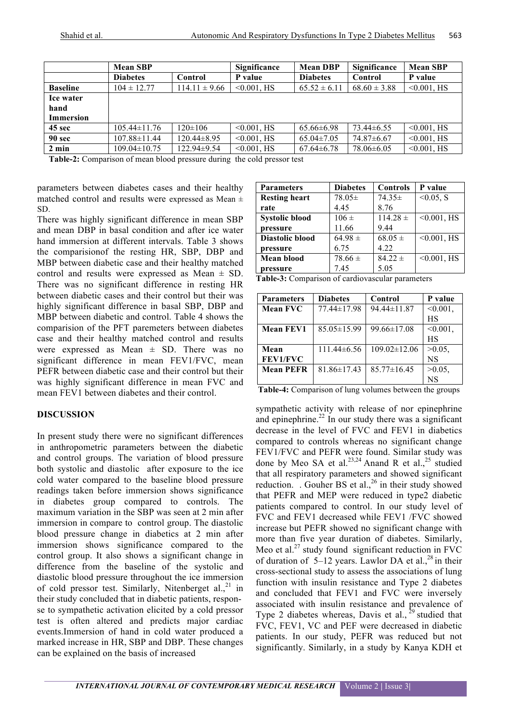|                  | <b>Mean SBP</b>    |                   | Significance   | <b>Mean DBP</b>  | Significance     | <b>Mean SBP</b> |
|------------------|--------------------|-------------------|----------------|------------------|------------------|-----------------|
|                  | <b>Diabetes</b>    | Control           | P value        | <b>Diabetes</b>  | Control          | P value         |
| <b>Baseline</b>  | $104 \pm 12.77$    | $114.11 \pm 9.66$ | $< 0.001$ , HS | $65.52 \pm 6.11$ | $68.60 \pm 3.88$ | $< 0.001$ , HS  |
| Ice water        |                    |                   |                |                  |                  |                 |
| hand             |                    |                   |                |                  |                  |                 |
| <b>Immersion</b> |                    |                   |                |                  |                  |                 |
| 45 sec           | $105.44 \pm 11.76$ | $120 \pm 106$     | $< 0.001$ , HS | $65.66 \pm 6.98$ | 73.44±6.55       | $< 0.001$ , HS  |
| 90 sec           | $107.88 \pm 11.44$ | $120.44 \pm 8.95$ | $< 0.001$ , HS | $65.04 \pm 7.05$ | $74.87\pm 6.67$  | $< 0.001$ , HS  |
| $2 \text{ min}$  | $109.04 \pm 10.75$ | 122.94±9.54       | $< 0.001$ , HS | $67.64 \pm 6.78$ | $78.06\pm 6.05$  | $< 0.001$ , HS  |

**Table-2:** Comparison of mean blood pressure during the cold pressor test

parameters between diabetes cases and their healthy matched control and results were expressed as Mean  $\pm$ SD.

There was highly significant difference in mean SBP and mean DBP in basal condition and after ice water hand immersion at different intervals. Table 3 shows the comparisionof the resting HR, SBP, DBP and MBP between diabetic case and their healthy matched control and results were expressed as Mean  $\pm$  SD. There was no significant difference in resting HR between diabetic cases and their control but their was highly significant difference in basal SBP, DBP and MBP between diabetic and control. Table 4 shows the comparision of the PFT paremeters between diabetes case and their healthy matched control and results were expressed as Mean  $\pm$  SD. There was no significant difference in mean FEV1/FVC, mean PEFR between diabetic case and their control but their was highly significant difference in mean FVC and mean FEV1 between diabetes and their control.

# **DISCUSSION**

In present study there were no significant differences in anthropometric parameters between the diabetic and control groups. The variation of blood pressure both systolic and diastolic after exposure to the ice cold water compared to the baseline blood pressure readings taken before immersion shows significance in diabetes group compared to controls. The maximum variation in the SBP was seen at 2 min after immersion in compare to control group. The diastolic blood pressure change in diabetics at 2 min after immersion shows significance compared to the control group. It also shows a significant change in difference from the baseline of the systolic and diastolic blood pressure throughout the ice immersion of cold pressor test. Similarly, Nitenberget al., $^{21}$  in their study concluded that in diabetic patients, response to sympathetic activation elicited by a cold pressor test is often altered and predicts major cardiac events.Immersion of hand in cold water produced a marked increase in HR, SBP and DBP. These changes can be explained on the basis of increased

| <b>Parameters</b>      | <b>Diabetes</b> | <b>Controls</b> | P value        |
|------------------------|-----------------|-----------------|----------------|
| <b>Resting heart</b>   | 78.05±          | $74.35\pm$      | $< 0.05$ , S   |
| rate                   | 4.45            | 8.76            |                |
| <b>Systolic blood</b>  | $106 \pm$       | $114.28 \pm$    | $< 0.001$ , HS |
| pressure               | 11.66           | 9.44            |                |
| <b>Diastolic blood</b> | $64.98 \pm$     | $68.05 \pm$     | $< 0.001$ , HS |
| pressure               | 6.75            | 4.22            |                |
| <b>Mean blood</b>      | $78.66 \pm$     | $84.22 \pm$     | $< 0.001$ , HS |
| pressure               | 7.45            | 5.05            |                |

**Table-3:** Comparison of cardiovascular parameters

| <b>Parameters</b> | <b>Diabetes</b>   | Control            | P value     |
|-------------------|-------------------|--------------------|-------------|
| <b>Mean FVC</b>   | 77.44±17.98       | 94.44±11.87        | $< 0.001$ , |
|                   |                   |                    | HS          |
| <b>Mean FEV1</b>  | $85.05 \pm 15.99$ | $99.66 \pm 17.08$  | $< 0.001$ , |
|                   |                   |                    | НS          |
| Mean              | $111.44\pm 6.56$  | $109.02 \pm 12.06$ | $>0.05$ ,   |
| <b>FEV1/FVC</b>   |                   |                    | NS          |
| <b>Mean PEFR</b>  | $81.86 \pm 17.43$ | $85.77 \pm 16.45$  | $>0.05$ ,   |
|                   |                   |                    | NS          |

**Table-4:** Comparison of lung volumes between the groups

sympathetic activity with release of nor epinephrine and epinephrine. $2^{2}$  In our study there was a significant decrease in the level of FVC and FEV1 in diabetics compared to controls whereas no significant change FEV1/FVC and PEFR were found. Similar study was done by Meo SA et al.<sup>23,24</sup> Anand R et al.,<sup>25</sup> studied that all respiratory parameters and showed significant reduction. . Gouher BS et al.,  $^{26}$  in their study showed that PEFR and MEP were reduced in type2 diabetic patients compared to control. In our study level of FVC and FEV1 decreased while FEV1 /FVC showed increase but PEFR showed no significant change with more than five year duration of diabetes. Similarly, Meo et al.<sup>27</sup> study found significant reduction in FVC of duration of  $5-12$  years. Lawlor DA et al.,<sup>28</sup> in their cross-sectional study to assess the associations of lung function with insulin resistance and Type 2 diabetes and concluded that FEV1 and FVC were inversely associated with insulin resistance and prevalence of Type 2 diabetes whereas, Davis et al.,  $^{29}$  studied that FVC, FEV1, VC and PEF were decreased in diabetic patients. In our study, PEFR was reduced but not significantly. Similarly, in a study by Kanya KDH et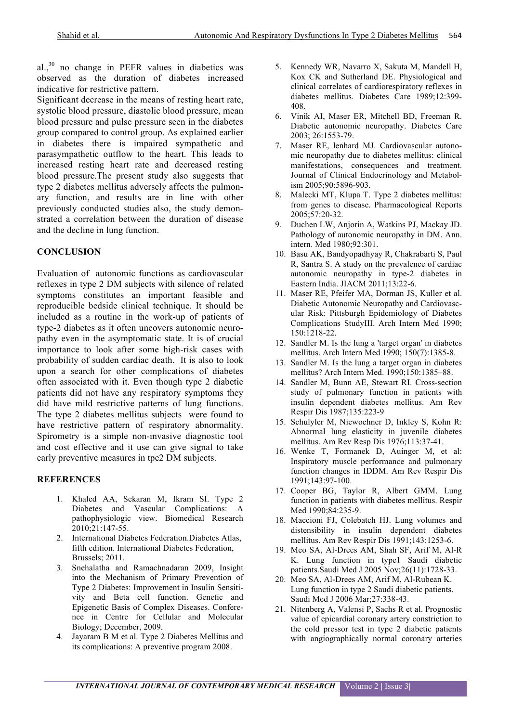$al.,<sup>30</sup>$  no change in PEFR values in diabetics was observed as the duration of diabetes increased indicative for restrictive pattern.

Significant decrease in the means of resting heart rate, systolic blood pressure, diastolic blood pressure, mean blood pressure and pulse pressure seen in the diabetes group compared to control group. As explained earlier in diabetes there is impaired sympathetic and parasympathetic outflow to the heart. This leads to increased resting heart rate and decreased resting blood pressure.The present study also suggests that type 2 diabetes mellitus adversely affects the pulmonary function, and results are in line with other previously conducted studies also, the study demonstrated a correlation between the duration of disease and the decline in lung function.

#### **CONCLUSION**

Evaluation of autonomic functions as cardiovascular reflexes in type 2 DM subjects with silence of related symptoms constitutes an important feasible and reproducible bedside clinical technique. It should be included as a routine in the work-up of patients of type-2 diabetes as it often uncovers autonomic neuropathy even in the asymptomatic state. It is of crucial importance to look after some high-risk cases with probability of sudden cardiac death. It is also to look upon a search for other complications of diabetes often associated with it. Even though type 2 diabetic patients did not have any respiratory symptoms they did have mild restrictive patterns of lung functions. The type 2 diabetes mellitus subjects were found to have restrictive pattern of respiratory abnormality. Spirometry is a simple non-invasive diagnostic tool and cost effective and it use can give signal to take early preventive measures in tpe2 DM subjects.

# **REFERENCES**

- 1. Khaled AA, Sekaran M, Ikram SI. Type 2 Diabetes and Vascular Complications: A pathophysiologic view. Biomedical Research 2010;21:147-55.
- 2. International Diabetes Federation.Diabetes Atlas, fifth edition. International Diabetes Federation, Brussels; 2011.
- 3. Snehalatha and Ramachnadaran 2009, Insight into the Mechanism of Primary Prevention of Type 2 Diabetes: Improvement in Insulin Sensitivity and Beta cell function. Genetic and Epigenetic Basis of Complex Diseases. Conference in Centre for Cellular and Molecular Biology; December, 2009.
- 4. Jayaram B M et al. Type 2 Diabetes Mellitus and its complications: A preventive program 2008.
- 5. Kennedy WR, Navarro X, Sakuta M, Mandell H, Kox CK and Sutherland DE. Physiological and clinical correlates of cardiorespiratory reflexes in diabetes mellitus. Diabetes Care 1989;12:399- 408.
- 6. Vinik AI, Maser ER, Mitchell BD, Freeman R. Diabetic autonomic neuropathy. Diabetes Care 2003; 26:1553-79.
- 7. Maser RE, lenhard MJ. Cardiovascular autonomic neuropathy due to diabetes mellitus: clinical manifestations, consequences and treatment. Journal of Clinical Endocrinology and Metabolism 2005;90:5896-903.
- 8. Malecki MT, Klupa T. Type 2 diabetes mellitus: from genes to disease. Pharmacological Reports 2005;57:20-32.
- 9. Duchen LW, Anjorin A, Watkins PJ, Mackay JD. Pathology of autonomic neuropathy in DM. Ann. intern. Med 1980;92:301.
- 10. Basu AK, Bandyopadhyay R, Chakrabarti S, Paul R, Santra S. A study on the prevalence of cardiac autonomic neuropathy in type-2 diabetes in Eastern India. JIACM 2011;13:22-6.
- 11. Maser RE, Pfeifer MA, Dorman JS, Kuller et al. Diabetic Autonomic Neuropathy and Cardiovascular Risk: Pittsburgh Epidemiology of Diabetes Complications StudyIII. Arch Intern Med 1990; 150:1218-22.
- 12. Sandler M. Is the lung a 'target organ' in diabetes mellitus. Arch Intern Med 1990; 150(7):1385-8.
- 13. Sandler M. Is the lung a target organ in diabetes mellitus? Arch Intern Med. 1990;150:1385–88.
- 14. Sandler M, Bunn AE, Stewart RI. Cross-section study of pulmonary function in patients with insulin dependent diabetes mellitus. Am Rev Respir Dis 1987;135:223-9
- 15. Schulyler M, Niewoehner D, Inkley S, Kohn R: Abnormal lung elasticity in juvenile diabetes mellitus. Am Rev Resp Dis 1976;113:37-41.
- 16. Wenke T, Formanek D, Auinger M, et al: Inspiratory muscle performance and pulmonary function changes in IDDM. Am Rev Respir Dis 1991;143:97-100.
- 17. Cooper BG, Taylor R, Albert GMM. Lung function in patients with diabetes mellitus. Respir Med 1990;84:235-9.
- 18. Maccioni FJ, Colebatch HJ. Lung volumes and distensibility in insulin dependent diabetes mellitus. Am Rev Respir Dis 1991;143:1253-6.
- 19. Meo SA, Al-Drees AM, Shah SF, Arif M, Al-R K. Lung function in type1 Saudi diabetic patients.Saudi Med J 2005 Nov;26(11):1728-33.
- 20. Meo SA, Al-Drees AM, Arif M, Al-Rubean K. Lung function in type 2 Saudi diabetic patients. Saudi Med J 2006 Mar;27:338-43.
- 21. Nitenberg A, Valensi P, Sachs R et al. Prognostic value of epicardial coronary artery constriction to the cold pressor test in type 2 diabetic patients with angiographically normal coronary arteries